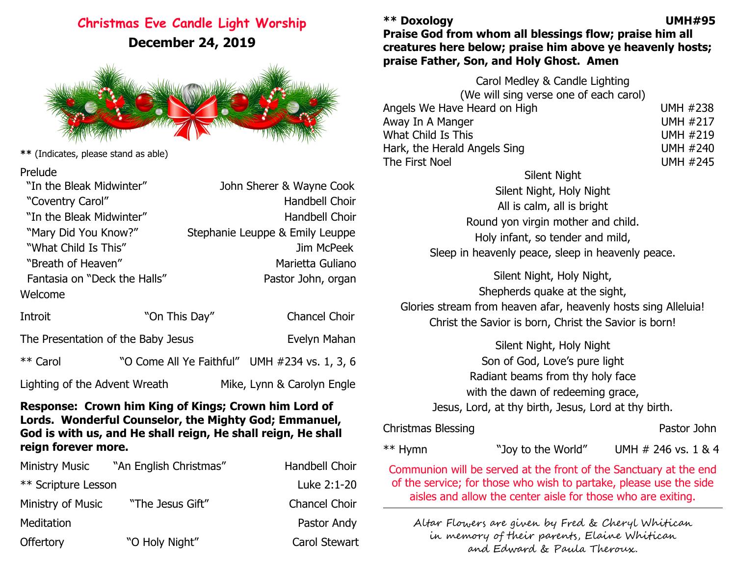### **Christmas Eve Candle Light Worship December 24, 2019**



**\*\*** (Indicates, please stand as able)

| Prelude |
|---------|
|---------|

| "In the Bleak Midwinter"     | John Sherer & Wayne Cook        |
|------------------------------|---------------------------------|
| "Coventry Carol"             | Handbell Choir                  |
| "In the Bleak Midwinter"     | Handbell Choir                  |
| "Mary Did You Know?"         | Stephanie Leuppe & Emily Leuppe |
| "What Child Is This"         | Jim McPeek                      |
| "Breath of Heaven"           | Marietta Guliano                |
| Fantasia on "Deck the Halls" | Pastor John, organ              |
| Welcome                      |                                 |
|                              |                                 |

| Introit                       | "On This Day"                      | Chancel Choir                                 |
|-------------------------------|------------------------------------|-----------------------------------------------|
|                               | The Presentation of the Baby Jesus | Evelyn Mahan                                  |
| ** Carol                      |                                    | "O Come All Ye Faithful" UMH #234 vs. 1, 3, 6 |
| Lighting of the Advent Wreath |                                    | Mike, Lynn & Carolyn Engle                    |

#### **Response: Crown him King of Kings; Crown him Lord of Lords. Wonderful Counselor, the Mighty God; Emmanuel, God is with us, and He shall reign, He shall reign, He shall reign forever more.**

| <b>Ministry Music</b>      | "An English Christmas" | Handbell Choir       |
|----------------------------|------------------------|----------------------|
| <b>** Scripture Lesson</b> |                        | Luke 2:1-20          |
| Ministry of Music          | "The Jesus Gift"       | <b>Chancel Choir</b> |
| Meditation                 |                        | Pastor Andy          |
| Offertory                  | "O Holy Night"         | <b>Carol Stewart</b> |

#### **\*\* Doxology UMH#95**

### **Praise God from whom all blessings flow; praise him all creatures here below; praise him above ye heavenly hosts; praise Father, Son, and Holy Ghost. Amen**

Carol Medley & Candle Lighting (We will sing verse one of each carol) Angels We Have Heard on High UMH #238 Away In A Manger and the UMH #217 What Child Is This UMH #219 Hark, the Herald Angels Sing UMH #240 The First Noel and The First Noel and The First Noel and The Times of the UMH #245

Silent Night Silent Night, Holy Night All is calm, all is bright Round yon virgin mother and child. Holy infant, so tender and mild, Sleep in heavenly peace, sleep in heavenly peace.

Silent Night, Holy Night, Shepherds quake at the sight, Glories stream from heaven afar, heavenly hosts sing Alleluia! Christ the Savior is born, Christ the Savior is born!

> Silent Night, Holy Night Son of God, Love's pure light Radiant beams from thy holy face with the dawn of redeeming grace, Jesus, Lord, at thy birth, Jesus, Lord at thy birth.

Christmas Blessing **Pastor John** 

\*\* Hymn  $***$   $"$  Joy to the World" UMH  $#$  246 vs. 1 & 4

Communion will be served at the front of the Sanctuary at the end of the service; for those who wish to partake, please use the side aisles and allow the center aisle for those who are exiting.

Altar Flowers are given by Fred & Cheryl Whitican in memory of their parents, Elaine Whitican and Edward & Paula Theroux.